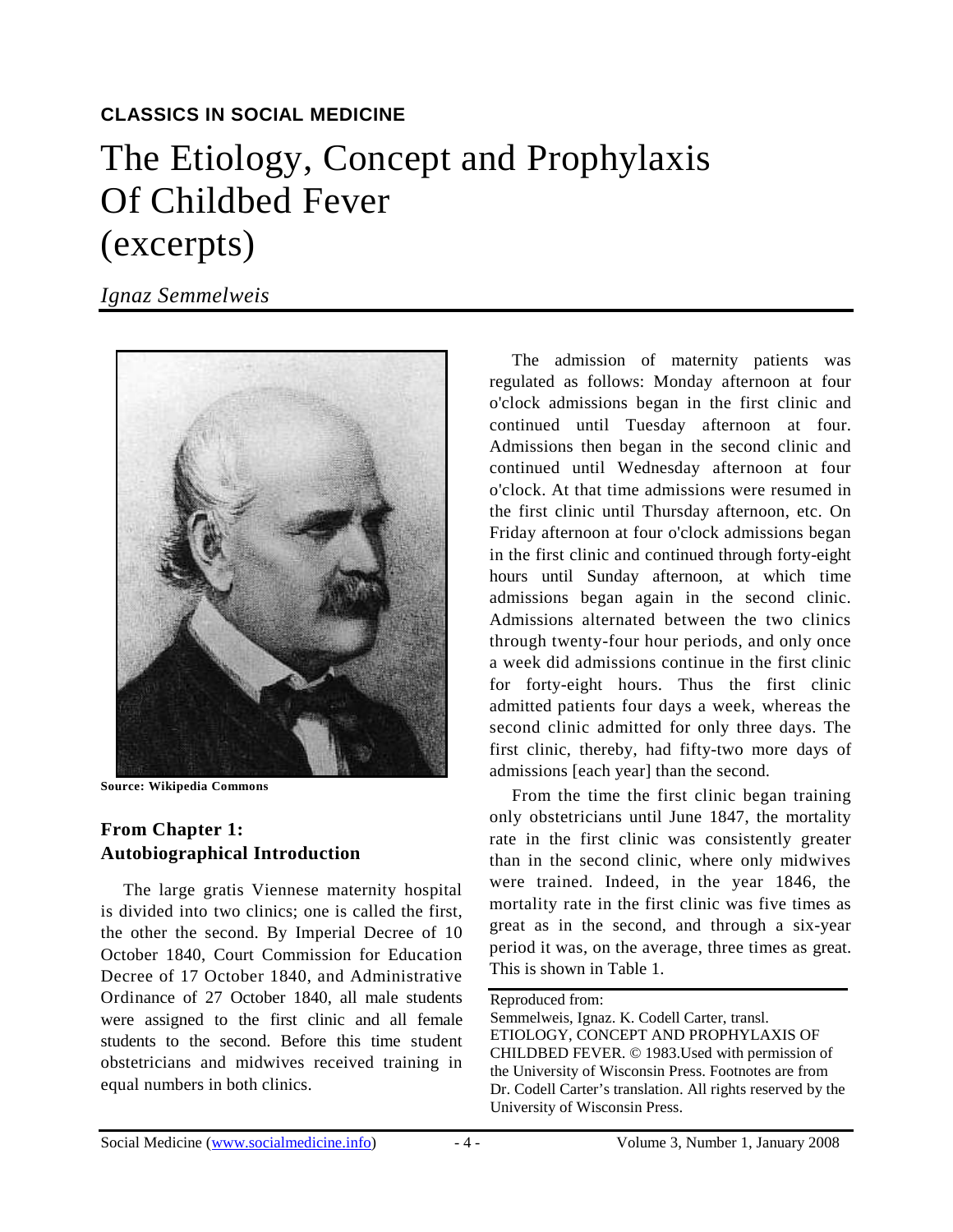## **CLASSICS IN SOCIAL MEDICINE**

# The Etiology, Concept and Prophylaxis Of Childbed Fever (excerpts)

*Ignaz Semmelweis*



**Source: Wikipedia Commons**

#### **From Chapter 1: Autobiographical Introduction**

The large gratis Viennese maternity hospital is divided into two clinics; one is called the first, the other the second. By Imperial Decree of 10 October 1840, Court Commission for Education Decree of 17 October 1840, and Administrative Ordinance of 27 October 1840, all male students were assigned to the first clinic and all female students to the second. Before this time student obstetricians and midwives received training in equal numbers in both clinics.

The admission of maternity patients was regulated as follows: Monday afternoon at four o'clock admissions began in the first clinic and continued until Tuesday afternoon at four. Admissions then began in the second clinic and continued until Wednesday afternoon at four o'clock. At that time admissions were resumed in the first clinic until Thursday afternoon, etc. On Friday afternoon at four o'clock admissions began in the first clinic and continued through forty-eight hours until Sunday afternoon, at which time admissions began again in the second clinic. Admissions alternated between the two clinics through twenty-four hour periods, and only once a week did admissions continue in the first clinic for forty-eight hours. Thus the first clinic admitted patients four days a week, whereas the second clinic admitted for only three days. The first clinic, thereby, had fifty-two more days of admissions [each year] than the second.

From the time the first clinic began training only obstetricians until June 1847, the mortality rate in the first clinic was consistently greater than in the second clinic, where only midwives were trained. Indeed, in the year 1846, the mortality rate in the first clinic was five times as great as in the second, and through a six-year period it was, on the average, three times as great. This is shown in Table 1.

Reproduced from:

Semmelweis, Ignaz. K. Codell Carter, transl. ETIOLOGY, CONCEPT AND PROPHYLAXIS OF CHILDBED FEVER. © 1983.Used with permission of the University of Wisconsin Press. Footnotes are from Dr. Codell Carter's translation. All rights reserved by the University of Wisconsin Press.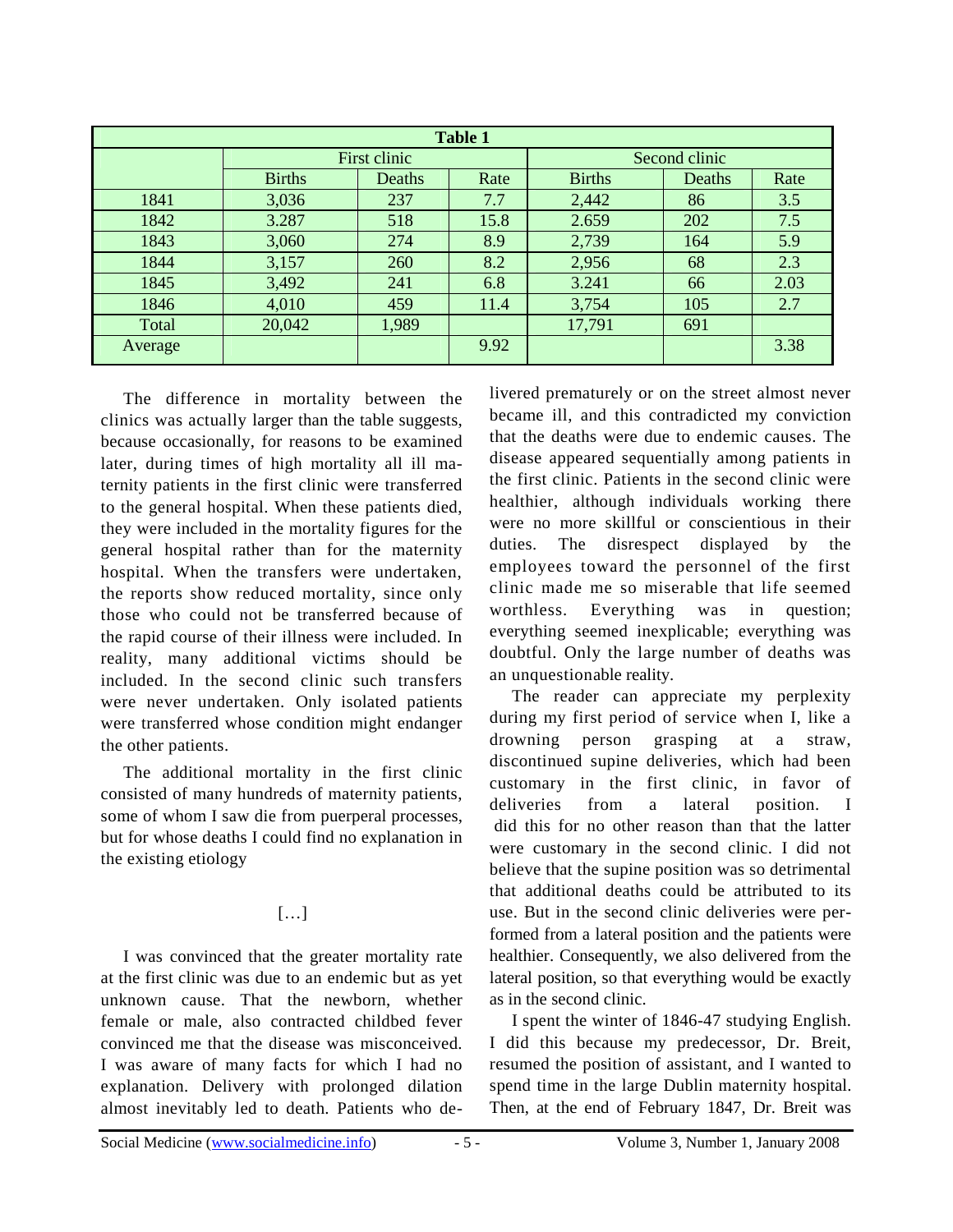| <b>Table 1</b> |               |        |      |               |        |      |  |
|----------------|---------------|--------|------|---------------|--------|------|--|
|                | First clinic  |        |      | Second clinic |        |      |  |
|                | <b>Births</b> | Deaths | Rate | <b>Births</b> | Deaths | Rate |  |
| 1841           | 3,036         | 237    | 7.7  | 2,442         | 86     | 3.5  |  |
| 1842           | 3.287         | 518    | 15.8 | 2.659         | 202    | 7.5  |  |
| 1843           | 3,060         | 274    | 8.9  | 2,739         | 164    | 5.9  |  |
| 1844           | 3,157         | 260    | 8.2  | 2,956         | 68     | 2.3  |  |
| 1845           | 3,492         | 241    | 6.8  | 3.241         | 66     | 2.03 |  |
| 1846           | 4,010         | 459    | 11.4 | 3,754         | 105    | 2.7  |  |
| Total          | 20,042        | 1,989  |      | 17,791        | 691    |      |  |
| Average        |               |        | 9.92 |               |        | 3.38 |  |

The difference in mortality between the clinics was actually larger than the table suggests, because occasionally, for reasons to be examined later, during times of high mortality all ill maternity patients in the first clinic were transferred to the general hospital. When these patients died, they were included in the mortality figures for the general hospital rather than for the maternity hospital. When the transfers were undertaken, the reports show reduced mortality, since only those who could not be transferred because of worthless. the rapid course of their illness were included. In reality, many additional victims should be included. In the second clinic such transfers were never undertaken. Only isolated patients were transferred whose condition might endanger the other patients.

The additional mortality in the first clinic consisted of many hundreds of maternity patients, some of whom I saw die from puerperal processes, but for whose deaths I could find no explanation in the existing etiology

### […]

I was convinced that the greater mortality rate at the first clinic was due to an endemic but as yet unknown cause. That the newborn, whether female or male, also contracted childbed fever convinced me that the disease was misconceived. I was aware of many facts for which I had no explanation. Delivery with prolonged dilation almost inevitably led to death. Patients who delivered prematurely or on the street almost never became ill, and this contradicted my conviction that the deaths were due to endemic causes. The disease appeared sequentially among patients in the first clinic. Patients in the second clinic were healthier, although individuals working there were no more skillful or conscientious in their duties. The disrespect displayed by the employees toward the personnel of the first clinic made me so miserable that life seemed Everything was in question; everything seemed inexplicable; everything was doubtful. Only the large number of deaths was an unquestionable reality.

The reader can appreciate my perplexity during my first period of service when I, like a drowning person grasping at a straw, discontinued supine deliveries, which had been customary in the first clinic, in favor of deliveries from a lateral position. I did this for no other reason than that the latter were customary in the second clinic. I did not believe that the supine position was so detrimental that additional deaths could be attributed to its use. But in the second clinic deliveries were performed from a lateral position and the patients were healthier. Consequently, we also delivered from the lateral position, so that everything would be exactly as in the second clinic.

I spent the winter of 1846-47 studying English. I did this because my predecessor, Dr. Breit, resumed the position of assistant, and I wanted to spend time in the large Dublin maternity hospital. Then, at the end of February 1847, Dr. Breit was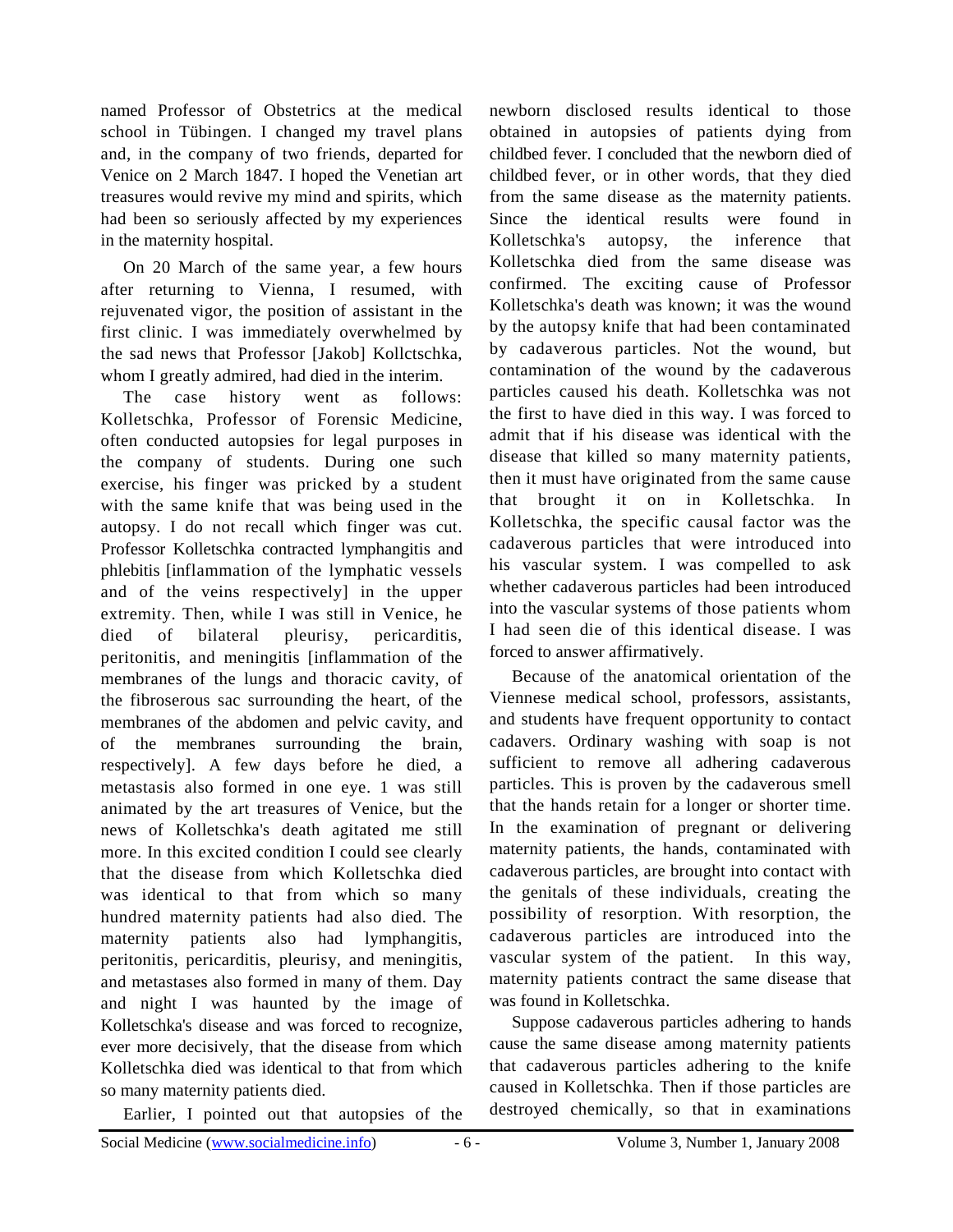named Professor of Obstetrics at the medical school in Tübingen. I changed my travel plans and, in the company of two friends, departed for Venice on 2 March 1847. I hoped the Venetian art treasures would revive my mind and spirits, which had been so seriously affected by my experiences in the maternity hospital.

On 20 March of the same year, a few hours after returning to Vienna, I resumed, with rejuvenated vigor, the position of assistant in the first clinic. I was immediately overwhelmed by the sad news that Professor [Jakob] Kollctschka, whom I greatly admired, had died in the interim.

The case history went as follows: Kolletschka, Professor of Forensic Medicine, often conducted autopsies for legal purposes in the company of students. During one such exercise, his finger was pricked by a student with the same knife that was being used in the autopsy. I do not recall which finger was cut. Professor Kolletschka contracted lymphangitis and phlebitis [inflammation of the lymphatic vessels and of the veins respectively] in the upper extremity. Then, while I was still in Venice, he died of bilateral pleurisy, pericarditis, peritonitis, and meningitis [inflammation of the membranes of the lungs and thoracic cavity, of the fibroserous sac surrounding the heart, of the membranes of the abdomen and pelvic cavity, and of the membranes surrounding the brain, respectively]. A few days before he died, a metastasis also formed in one eye. 1 was still animated by the art treasures of Venice, but the news of Kolletschka's death agitated me still more. In this excited condition I could see clearly that the disease from which Kolletschka died was identical to that from which so many hundred maternity patients had also died. The maternity patients also had lymphangitis, peritonitis, pericarditis, pleurisy, and meningitis, and metastases also formed in many of them. Day and night I was haunted by the image of Kolletschka's disease and was forced to recognize, ever more decisively, that the disease from which Kolletschka died was identical to that from which so many maternity patients died.

newborn disclosed results identical to those obtained in autopsies of patients dying from childbed fever. I concluded that the newborn died of childbed fever, or in other words, that they died from the same disease as the maternity patients. Since the identical results were found in Kolletschka's autopsy, the inference that Kolletschka died from the same disease was confirmed. The exciting cause of Professor Kolletschka's death was known; it was the wound by the autopsy knife that had been contaminated by cadaverous particles. Not the wound, but contamination of the wound by the cadaverous particles caused his death. Kolletschka was not the first to have died in this way. I was forced to admit that if his disease was identical with the disease that killed so many maternity patients, then it must have originated from the same cause that brought it on in Kolletschka. In Kolletschka, the specific causal factor was the cadaverous particles that were introduced into his vascular system. I was compelled to ask whether cadaverous particles had been introduced into the vascular systems of those patients whom I had seen die of this identical disease. I was forced to answer affirmatively.

Because of the anatomical orientation of the Viennese medical school, professors, assistants, and students have frequent opportunity to contact cadavers. Ordinary washing with soap is not sufficient to remove all adhering cadaverous particles. This is proven by the cadaverous smell that the hands retain for a longer or shorter time. In the examination of pregnant or delivering maternity patients, the hands, contaminated with cadaverous particles, are brought into contact with the genitals of these individuals, creating the possibility of resorption. With resorption, the cadaverous particles are introduced into the vascular system of the patient. In this way, maternity patients contract the same disease that was found in Kolletschka.

Suppose cadaverous particles adhering to hands cause the same disease among maternity patients that cadaverous particles adhering to the knife caused in Kolletschka. Then if those particles are destroyed chemically, so that in examinations

Earlier, I pointed out that autopsies of the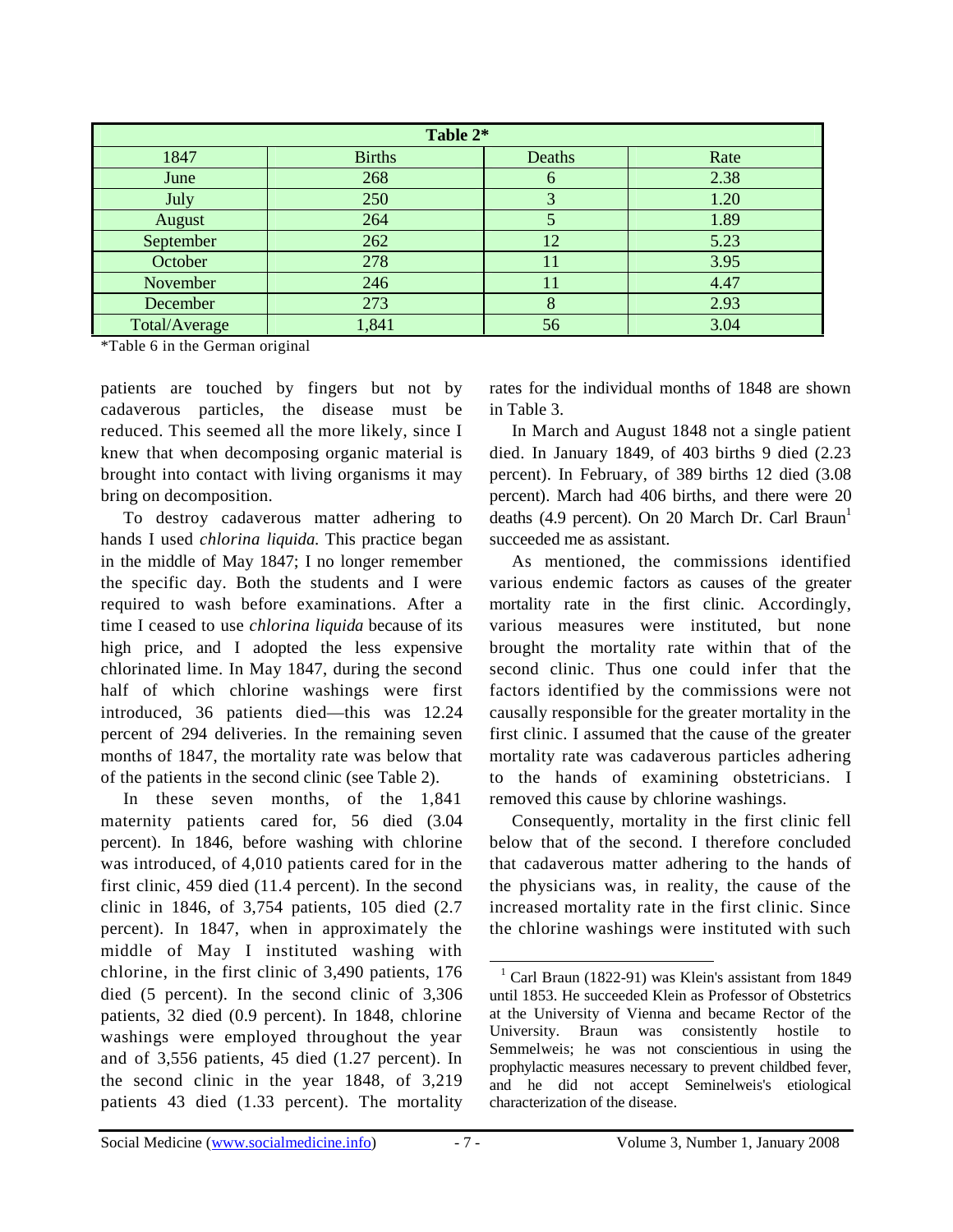| Table 2*        |               |          |      |  |  |  |
|-----------------|---------------|----------|------|--|--|--|
| 1847            | <b>Births</b> |          | Rate |  |  |  |
| June            | 268           | $\sigma$ | 2.38 |  |  |  |
| July            | 250           | 3        | 1.20 |  |  |  |
| August          | 264           |          | 1.89 |  |  |  |
| September       | 262           | 12       | 5.23 |  |  |  |
| October         | 278           | 11       | 3.95 |  |  |  |
| November        | 246           |          | 4.47 |  |  |  |
| 273<br>December |               | 8        | 2.93 |  |  |  |
| Total/Average   | 1,841         | 56       | 3.04 |  |  |  |

\*Table 6 in the German original

patients are touched by fingers but not by cadaverous particles, the disease must be reduced. This seemed all the more likely, since I knew that when decomposing organic material is brought into contact with living organisms it may bring on decomposition.

To destroy cadaverous matter adhering to hands I used *chlorina liquida.* This practice began in the middle of May 1847; I no longer remember the specific day. Both the students and I were required to wash before examinations. After a time I ceased to use *chlorina liquida* because of its high price, and I adopted the less expensive chlorinated lime. In May 1847, during the second half of which chlorine washings were first introduced, 36 patients died—this was 12.24 percent of 294 deliveries. In the remaining seven months of 1847, the mortality rate was below that of the patients in the second clinic (see Table 2).

In these seven months, of the 1,841 maternity patients cared for, 56 died (3.04 percent). In 1846, before washing with chlorine was introduced, of 4,010 patients cared for in the first clinic, 459 died (11.4 percent). In the second clinic in 1846, of 3,754 patients, 105 died (2.7 percent). In 1847, when in approximately the middle of May I instituted washing with chlorine, in the first clinic of 3,490 patients, 176 died (5 percent). In the second clinic of 3,306 patients, 32 died (0.9 percent). In 1848, chlorine washings were employed throughout the year and of 3,556 patients, 45 died (1.27 percent). In the second clinic in the year 1848, of 3,219 patients 43 died (1.33 percent). The mortality rates for the individual months of 1848 are shown in Table 3.

In March and August 1848 not a single patient died. In January 1849, of 403 births 9 died (2.23 percent). In February, of 389 births 12 died (3.08 percent). March had 406 births, and there were 20 deaths (4.9 percent). On 20 March Dr. Carl Braun<sup>[1](#page-3-0)</sup> succeeded me as assistant.

As mentioned, the commissions identified various endemic factors as causes of the greater mortality rate in the first clinic. Accordingly, various measures were instituted, but none brought the mortality rate within that of the second clinic. Thus one could infer that the factors identified by the commissions were not causally responsible for the greater mortality in the first clinic. I assumed that the cause of the greater mortality rate was cadaverous particles adhering to the hands of examining obstetricians. I removed this cause by chlorine washings.

Consequently, mortality in the first clinic fell below that of the second. I therefore concluded that cadaverous matter adhering to the hands of the physicians was, in reality, the cause of the increased mortality rate in the first clinic. Since the chlorine washings were instituted with such

<span id="page-3-0"></span> $1$  Carl Braun (1822-91) was Klein's assistant from 1849 until 1853. He succeeded Klein as Professor of Obstetrics at the University of Vienna and became Rector of the University. Braun was consistently hostile to Semmelweis; he was not conscientious in using the prophylactic measures necessary to prevent childbed fever, and he did not accept Seminelweis's etiological characterization of the disease.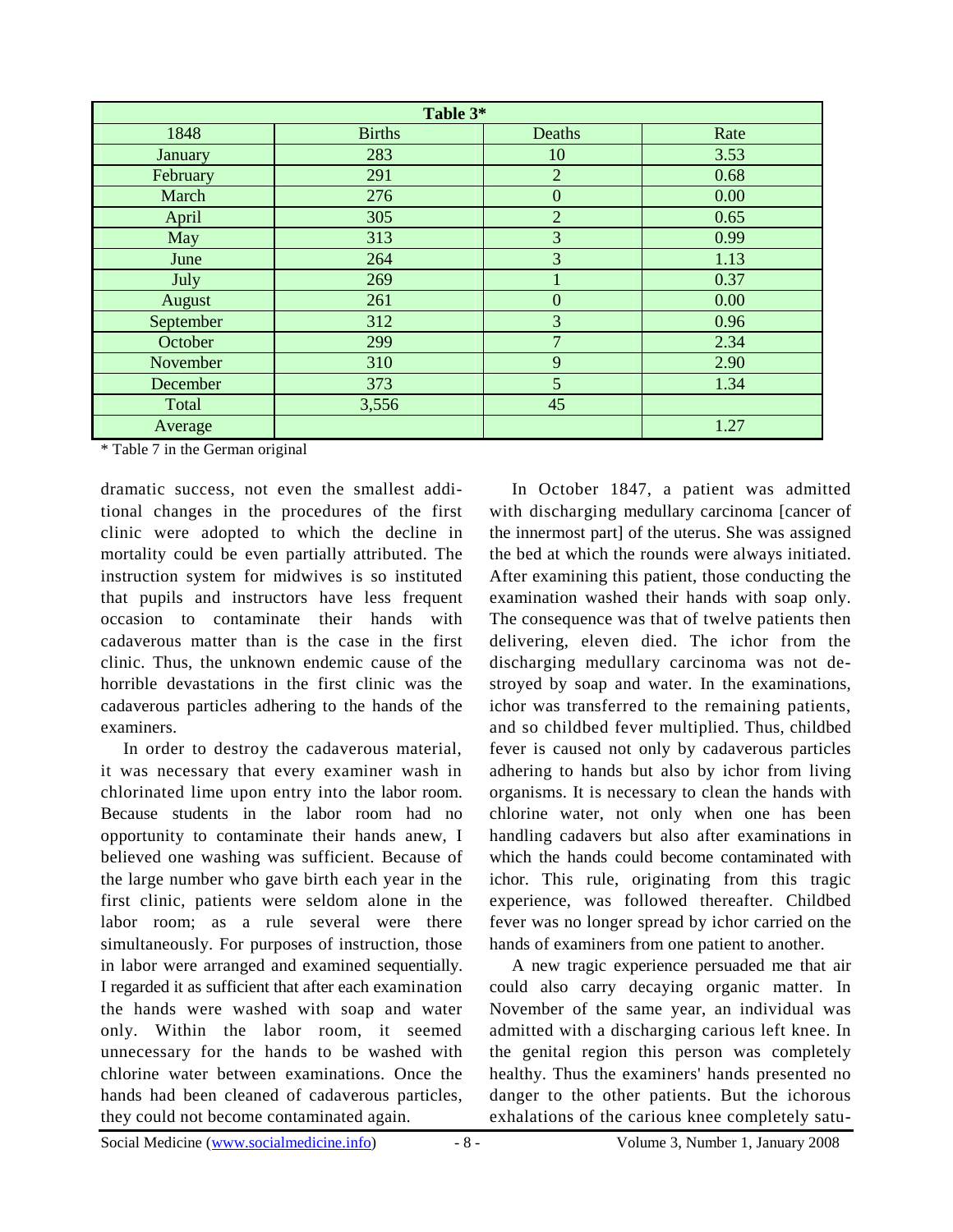| Table 3*  |               |                |      |  |  |  |
|-----------|---------------|----------------|------|--|--|--|
| 1848      | <b>Births</b> | Deaths         | Rate |  |  |  |
| January   | 283           | 10             | 3.53 |  |  |  |
| February  | 291           | $\overline{2}$ | 0.68 |  |  |  |
| March     | 276           | $\overline{0}$ | 0.00 |  |  |  |
| April     | 305           | $\overline{2}$ | 0.65 |  |  |  |
| May       | 313           | 3              | 0.99 |  |  |  |
| June      | 264           | 3              | 1.13 |  |  |  |
| July      | 269           |                | 0.37 |  |  |  |
| August    | 261           | $\overline{0}$ | 0.00 |  |  |  |
| September | 312           | 3              | 0.96 |  |  |  |
| October   | 299           | 7              | 2.34 |  |  |  |
| November  | 310           | 9              | 2.90 |  |  |  |
| December  | 373           | 5              | 1.34 |  |  |  |
| Total     | 3,556         | 45             |      |  |  |  |
| Average   |               |                | 1.27 |  |  |  |

\* Table 7 in the German original

dramatic success, not even the smallest additional changes in the procedures of the first clinic were adopted to which the decline in mortality could be even partially attributed. The instruction system for midwives is so instituted that pupils and instructors have less frequent occasion to contaminate their hands with cadaverous matter than is the case in the first clinic. Thus, the unknown endemic cause of the horrible devastations in the first clinic was the cadaverous particles adhering to the hands of the examiners.

In order to destroy the cadaverous material, it was necessary that every examiner wash in chlorinated lime upon entry into the labor room. Because students in the labor room had no opportunity to contaminate their hands anew, I believed one washing was sufficient. Because of the large number who gave birth each year in the first clinic, patients were seldom alone in the labor room; as a rule several were there simultaneously. For purposes of instruction, those in labor were arranged and examined sequentially. I regarded it as sufficient that after each examination the hands were washed with soap and water only. Within the labor room, it seemed unnecessary for the hands to be washed with chlorine water between examinations. Once the hands had been cleaned of cadaverous particles, they could not become contaminated again.

In October 1847, a patient was admitted with discharging medullary carcinoma [cancer of the innermost part] of the uterus. She was assigned the bed at which the rounds were always initiated. After examining this patient, those conducting the examination washed their hands with soap only. The consequence was that of twelve patients then delivering, eleven died. The ichor from the discharging medullary carcinoma was not destroyed by soap and water. In the examinations, ichor was transferred to the remaining patients, and so childbed fever multiplied. Thus, childbed fever is caused not only by cadaverous particles adhering to hands but also by ichor from living organisms. It is necessary to clean the hands with chlorine water, not only when one has been handling cadavers but also after examinations in which the hands could become contaminated with ichor. This rule, originating from this tragic experience, was followed thereafter. Childbed fever was no longer spread by ichor carried on the hands of examiners from one patient to another.

A new tragic experience persuaded me that air could also carry decaying organic matter. In November of the same year, an individual was admitted with a discharging carious left knee. In the genital region this person was completely healthy. Thus the examiners' hands presented no danger to the other patients. But the ichorous exhalations of the carious knee completely satu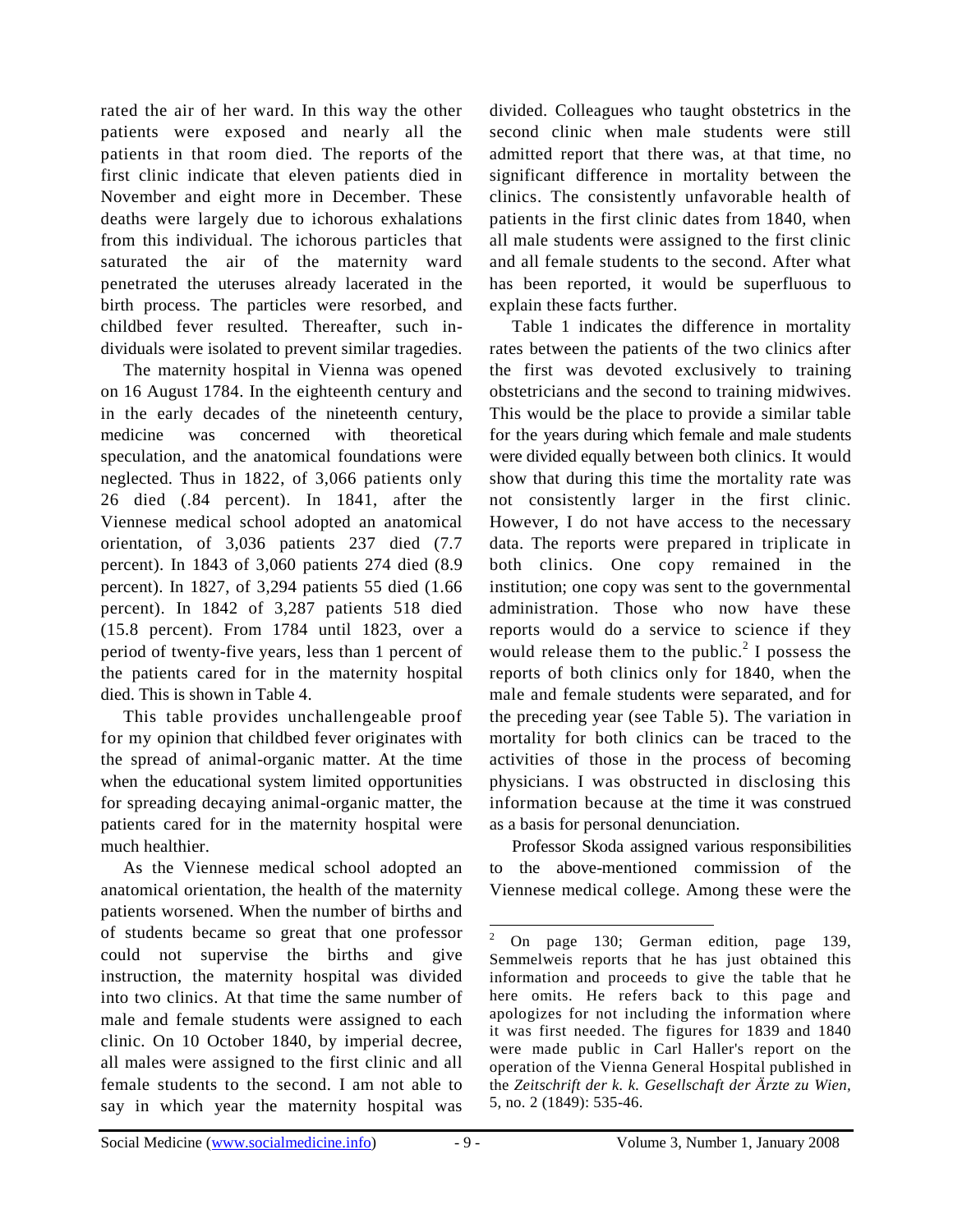rated the air of her ward. In this way the other patients were exposed and nearly all the patients in that room died. The reports of the first clinic indicate that eleven patients died in November and eight more in December. These deaths were largely due to ichorous exhalations from this individual. The ichorous particles that saturated the air of the maternity ward penetrated the uteruses already lacerated in the birth process. The particles were resorbed, and childbed fever resulted. Thereafter, such individuals were isolated to prevent similar tragedies.

The maternity hospital in Vienna was opened on 16 August 1784. In the eighteenth century and in the early decades of the nineteenth century, medicine was concerned with theoretical speculation, and the anatomical foundations were neglected. Thus in 1822, of 3,066 patients only 26 died (.84 percent). In 1841, after the Viennese medical school adopted an anatomical orientation, of 3,036 patients 237 died (7.7 percent). In 1843 of 3,060 patients 274 died (8.9 percent). In 1827, of 3,294 patients 55 died (1.66 percent). In 1842 of 3,287 patients 518 died (15.8 percent). From 1784 until 1823, over a period of twenty-five years, less than 1 percent of the patients cared for in the maternity hospital died. This is shown in Table 4.

This table provides unchallengeable proof for my opinion that childbed fever originates with the spread of animal-organic matter. At the time when the educational system limited opportunities for spreading decaying animal-organic matter, the patients cared for in the maternity hospital were much healthier.

As the Viennese medical school adopted an anatomical orientation, the health of the maternity patients worsened. When the number of births and of students became so great that one professor could not supervise the births and give instruction, the maternity hospital was divided into two clinics. At that time the same number of male and female students were assigned to each clinic. On 10 October 1840, by imperial decree, all males were assigned to the first clinic and all female students to the second. I am not able to say in which year the maternity hospital was

divided. Colleagues who taught obstetrics in the second clinic when male students were still admitted report that there was, at that time, no significant difference in mortality between the clinics. The consistently unfavorable health of patients in the first clinic dates from 1840, when all male students were assigned to the first clinic and all female students to the second. After what has been reported, it would be superfluous to explain these facts further.

Table 1 indicates the difference in mortality rates between the patients of the two clinics after the first was devoted exclusively to training obstetricians and the second to training midwives. This would be the place to provide a similar table for the years during which female and male students were divided equally between both clinics. It would show that during this time the mortality rate was not consistently larger in the first clinic. However, I do not have access to the necessary data. The reports were prepared in triplicate in both clinics. One copy remained in the institution; one copy was sent to the governmental administration. Those who now have these reports would do a service to science if they would release them to the public.<sup>[2](#page-5-0)</sup> I possess the reports of both clinics only for 1840, when the male and female students were separated, and for the preceding year (see Table 5). The variation in mortality for both clinics can be traced to the activities of those in the process of becoming physicians. I was obstructed in disclosing this information because at the time it was construed as a basis for personal denunciation.

Professor Skoda assigned various responsibilities to the above-mentioned commission of the Viennese medical college. Among these were the

<span id="page-5-0"></span> $2$  On page 130; German edition, page 139, Semmelweis reports that he has just obtained this information and proceeds to give the table that he here omits. He refers back to this page and apologizes for not including the information where it was first needed. The figures for 1839 and 1840 were made public in Carl Haller's report on the operation of the Vienna General Hospital published in the *Zeitschrift der k. k. Gesellschaft der Ärzte zu Wien,* 5, no. 2 (1849): 535-46.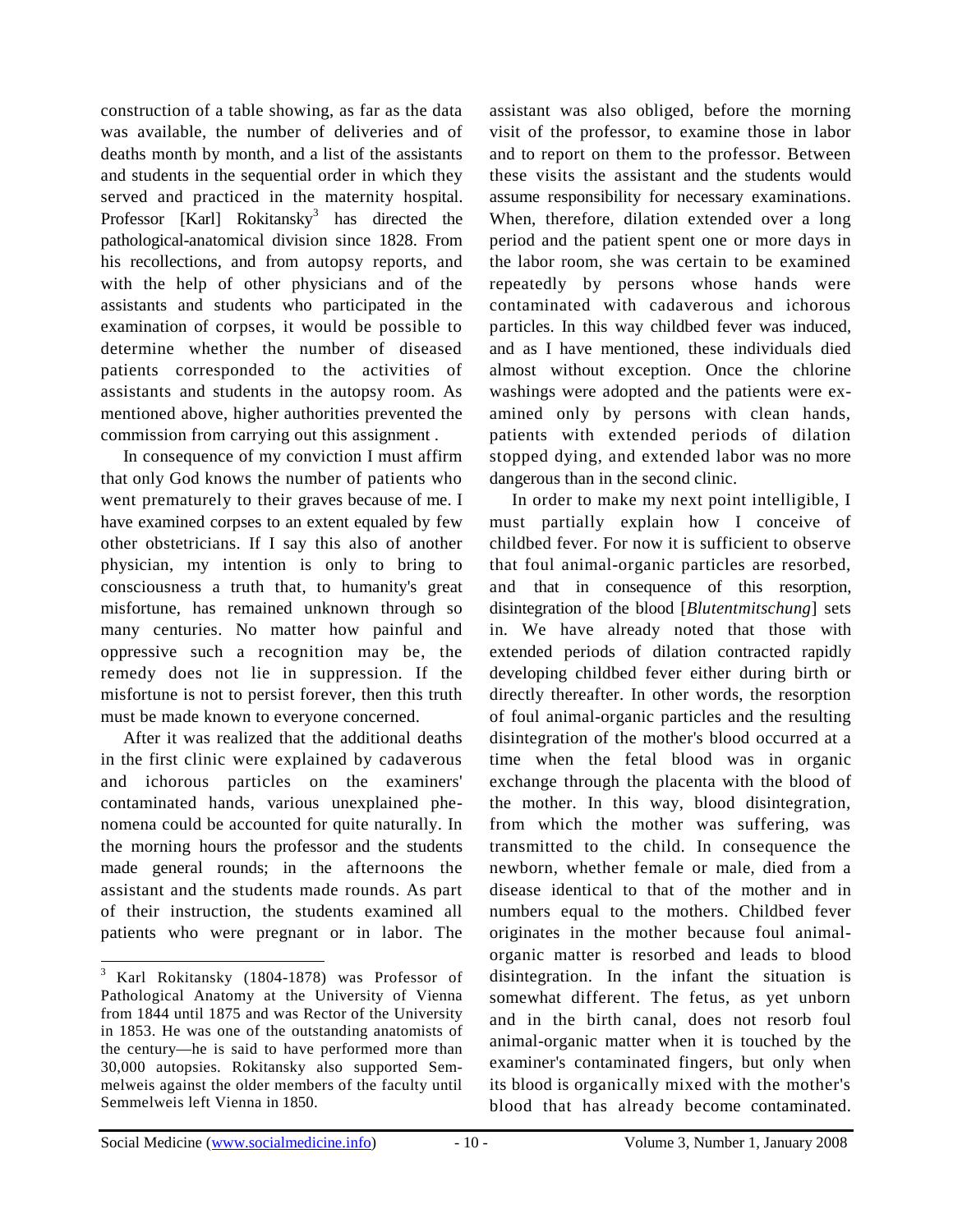construction of a table showing, as far as the data was available, the number of deliveries and of deaths month by month, and a list of the assistants and students in the sequential order in which they served and practiced in the maternity hospital. Professor [Karl] Rokitansky<sup>[3](#page-6-0)</sup> has directed the pathological-anatomical division since 1828. From his recollections, and from autopsy reports, and with the help of other physicians and of the assistants and students who participated in the examination of corpses, it would be possible to determine whether the number of diseased patients corresponded to the activities of assistants and students in the autopsy room. As mentioned above, higher authorities prevented the commission from carrying out this assignment .

In consequence of my conviction I must affirm that only God knows the number of patients who went prematurely to their graves because of me. I have examined corpses to an extent equaled by few other obstetricians. If I say this also of another physician, my intention is only to bring to consciousness a truth that, to humanity's great misfortune, has remained unknown through so many centuries. No matter how painful and oppressive such a recognition may be, the remedy does not lie in suppression. If the misfortune is not to persist forever, then this truth must be made known to everyone concerned.

After it was realized that the additional deaths in the first clinic were explained by cadaverous and ichorous particles on the examiners' contaminated hands, various unexplained phenomena could be accounted for quite naturally. In the morning hours the professor and the students made general rounds; in the afternoons the assistant and the students made rounds. As part of their instruction, the students examined all patients who were pregnant or in labor. The

assistant was also obliged, before the morning visit of the professor, to examine those in labor and to report on them to the professor. Between these visits the assistant and the students would assume responsibility for necessary examinations. When, therefore, dilation extended over a long period and the patient spent one or more days in the labor room, she was certain to be examined repeatedly by persons whose hands were contaminated with cadaverous and ichorous particles. In this way childbed fever was induced, and as I have mentioned, these individuals died almost without exception. Once the chlorine washings were adopted and the patients were examined only by persons with clean hands, patients with extended periods of dilation stopped dying, and extended labor was no more dangerous than in the second clinic.

In order to make my next point intelligible, I must partially explain how I conceive of childbed fever. For now it is sufficient to observe that foul animal-organic particles are resorbed, and that in consequence of this resorption, disintegration of the blood [*Blutentmitschung*] sets in. We have already noted that those with extended periods of dilation contracted rapidly developing childbed fever either during birth or directly thereafter. In other words, the resorption of foul animal-organic particles and the resulting disintegration of the mother's blood occurred at a time when the fetal blood was in organic exchange through the placenta with the blood of the mother. In this way, blood disintegration, from which the mother was suffering, was transmitted to the child. In consequence the newborn, whether female or male, died from a disease identical to that of the mother and in numbers equal to the mothers. Childbed fever originates in the mother because foul animalorganic matter is resorbed and leads to blood disintegration. In the infant the situation is somewhat different. The fetus, as yet unborn and in the birth canal, does not resorb foul animal-organic matter when it is touched by the examiner's contaminated fingers, but only when its blood is organically mixed with the mother's blood that has already become contaminated.

<span id="page-6-0"></span><sup>3</sup> Karl Rokitansky (1804-1878) was Professor of Pathological Anatomy at the University of Vienna from 1844 until 1875 and was Rector of the University in 1853. He was one of the outstanding anatomists of the century—he is said to have performed more than 30,000 autopsies. Rokitansky also supported Semmelweis against the older members of the faculty until Semmelweis left Vienna in 1850.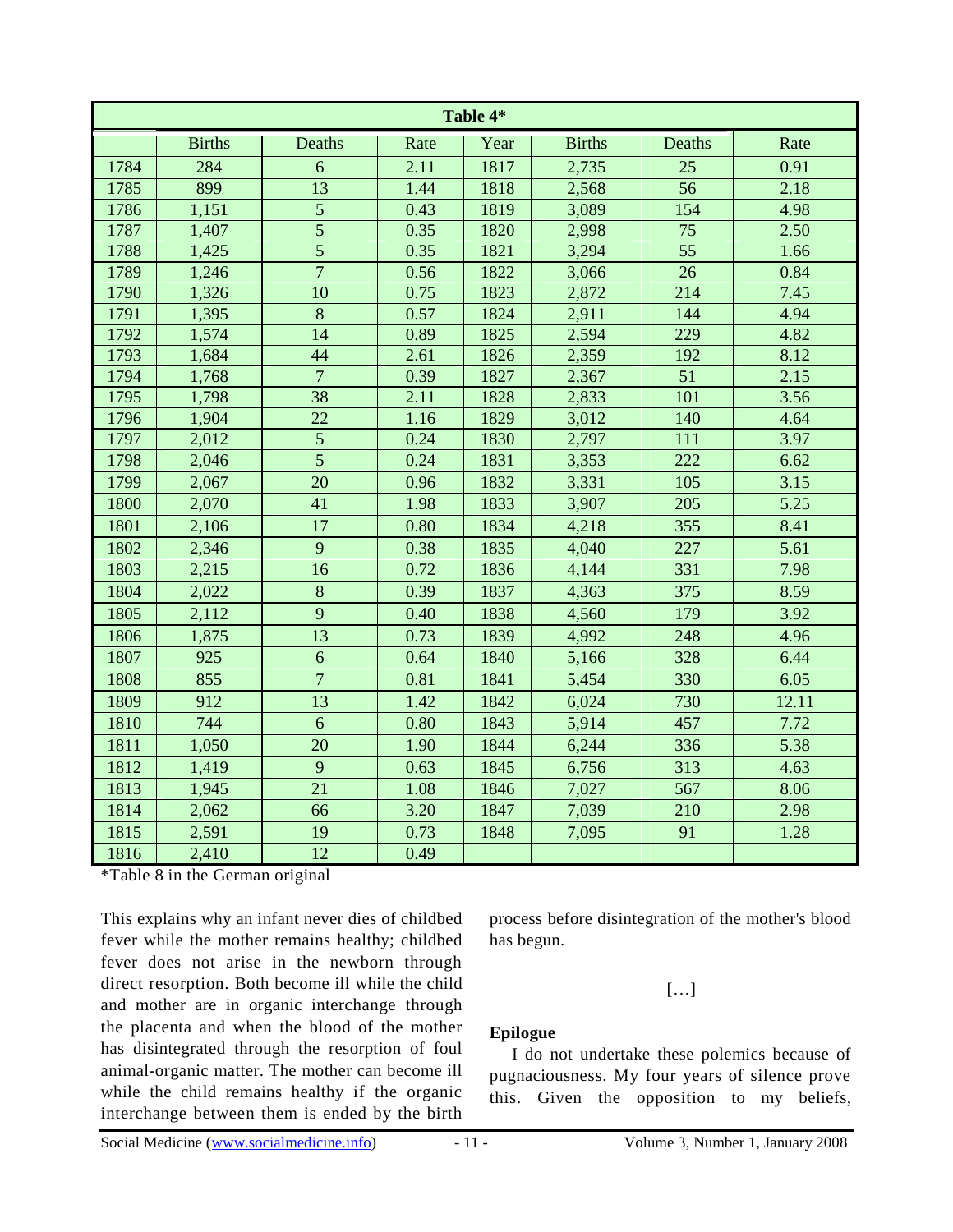| Table 4* |               |                |      |      |               |        |       |
|----------|---------------|----------------|------|------|---------------|--------|-------|
|          | <b>Births</b> | Deaths         | Rate | Year | <b>Births</b> | Deaths | Rate  |
| 1784     | 284           | 6              | 2.11 | 1817 | 2,735         | 25     | 0.91  |
| 1785     | 899           | 13             | 1.44 | 1818 | 2,568         | 56     | 2.18  |
| 1786     | 1,151         | $\overline{5}$ | 0.43 | 1819 | 3,089         | 154    | 4.98  |
| 1787     | 1,407         | $\overline{5}$ | 0.35 | 1820 | 2,998         | 75     | 2.50  |
| 1788     | 1,425         | $\overline{5}$ | 0.35 | 1821 | 3,294         | 55     | 1.66  |
| 1789     | 1,246         | $\overline{7}$ | 0.56 | 1822 | 3,066         | 26     | 0.84  |
| 1790     | 1,326         | 10             | 0.75 | 1823 | 2,872         | 214    | 7.45  |
| 1791     | 1,395         | $\bf 8$        | 0.57 | 1824 | 2,911         | 144    | 4.94  |
| 1792     | 1,574         | 14             | 0.89 | 1825 | 2,594         | 229    | 4.82  |
| 1793     | 1,684         | 44             | 2.61 | 1826 | 2,359         | 192    | 8.12  |
| 1794     | 1,768         | $\overline{7}$ | 0.39 | 1827 | 2,367         | 51     | 2.15  |
| 1795     | 1,798         | 38             | 2.11 | 1828 | 2,833         | 101    | 3.56  |
| 1796     | 1,904         | 22             | 1.16 | 1829 | 3,012         | 140    | 4.64  |
| 1797     | 2,012         | $\overline{5}$ | 0.24 | 1830 | 2,797         | 111    | 3.97  |
| 1798     | 2,046         | 5              | 0.24 | 1831 | 3,353         | 222    | 6.62  |
| 1799     | 2,067         | 20             | 0.96 | 1832 | 3,331         | 105    | 3.15  |
| 1800     | 2,070         | 41             | 1.98 | 1833 | 3,907         | 205    | 5.25  |
| 1801     | 2,106         | 17             | 0.80 | 1834 | 4,218         | 355    | 8.41  |
| 1802     | 2,346         | 9              | 0.38 | 1835 | 4,040         | 227    | 5.61  |
| 1803     | 2,215         | 16             | 0.72 | 1836 | 4,144         | 331    | 7.98  |
| 1804     | 2,022         | $\,8\,$        | 0.39 | 1837 | 4,363         | 375    | 8.59  |
| 1805     | 2,112         | 9              | 0.40 | 1838 | 4,560         | 179    | 3.92  |
| 1806     | 1,875         | 13             | 0.73 | 1839 | 4,992         | 248    | 4.96  |
| 1807     | 925           | 6              | 0.64 | 1840 | 5,166         | 328    | 6.44  |
| 1808     | 855           | $\overline{7}$ | 0.81 | 1841 | 5,454         | 330    | 6.05  |
| 1809     | 912           | 13             | 1.42 | 1842 | 6,024         | 730    | 12.11 |
| 1810     | 744           | 6              | 0.80 | 1843 | 5,914         | 457    | 7.72  |
| 1811     | 1,050         | 20             | 1.90 | 1844 | 6,244         | 336    | 5.38  |
| 1812     | 1,419         | 9              | 0.63 | 1845 | 6,756         | 313    | 4.63  |
| 1813     | 1,945         | 21             | 1.08 | 1846 | 7,027         | 567    | 8.06  |
| 1814     | 2,062         | 66             | 3.20 | 1847 | 7,039         | 210    | 2.98  |
| 1815     | 2,591         | 19             | 0.73 | 1848 | 7,095         | 91     | 1.28  |
| 1816     | 2,410         | 12             | 0.49 |      |               |        |       |

\*Table 8 in the German original

This explains why an infant never dies of childbed fever while the mother remains healthy; childbed fever does not arise in the newborn through direct resorption. Both become ill while the child and mother are in organic interchange through the placenta and when the blood of the mother has disintegrated through the resorption of foul animal-organic matter. The mother can become ill while the child remains healthy if the organic interchange between them is ended by the birth

process before disintegration of the mother's blood has begun.

[…]

#### **Epilogue**

I do not undertake these polemics because of pugnaciousness. My four years of silence prove this. Given the opposition to my beliefs,